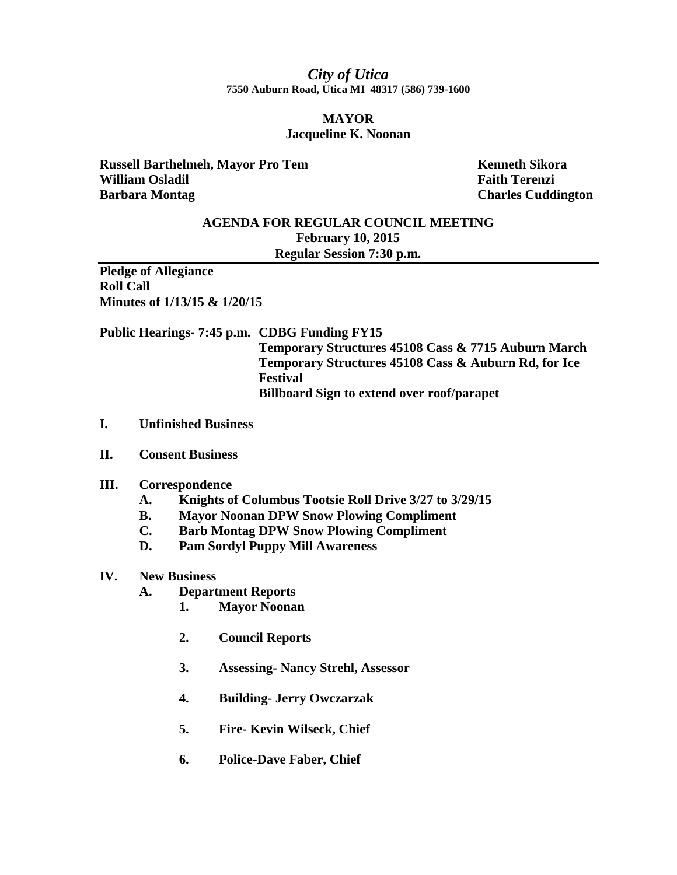## *City of Utica* **7550 Auburn Road, Utica MI 48317 (586) 739-1600**

## **MAYOR Jacqueline K. Noonan**

**Russell Barthelmeh, Mayor Pro Tem Kenneth Sikora William Osladil Faith Terenzi Barbara Montag Charles Cuddington** 

## **AGENDA FOR REGULAR COUNCIL MEETING February 10, 2015 Regular Session 7:30 p.m.**

**Pledge of Allegiance Roll Call Minutes of 1/13/15 & 1/20/15**

**Public Hearings- 7:45 p.m. CDBG Funding FY15 Temporary Structures 45108 Cass & 7715 Auburn March Temporary Structures 45108 Cass & Auburn Rd, for Ice Festival Billboard Sign to extend over roof/parapet**

- **I. Unfinished Business**
- **II. Consent Business**
- **III. Correspondence**
	- **A. Knights of Columbus Tootsie Roll Drive 3/27 to 3/29/15**
	- **B. Mayor Noonan DPW Snow Plowing Compliment**
	- **C. Barb Montag DPW Snow Plowing Compliment**
	- **D. Pam Sordyl Puppy Mill Awareness**

## **IV. New Business**

- **A. Department Reports**
	- **1. Mayor Noonan**
	- **2. Council Reports**
	- **3. Assessing- Nancy Strehl, Assessor**
	- **4. Building- Jerry Owczarzak**
	- **5. Fire- Kevin Wilseck, Chief**
	- **6. Police-Dave Faber, Chief**